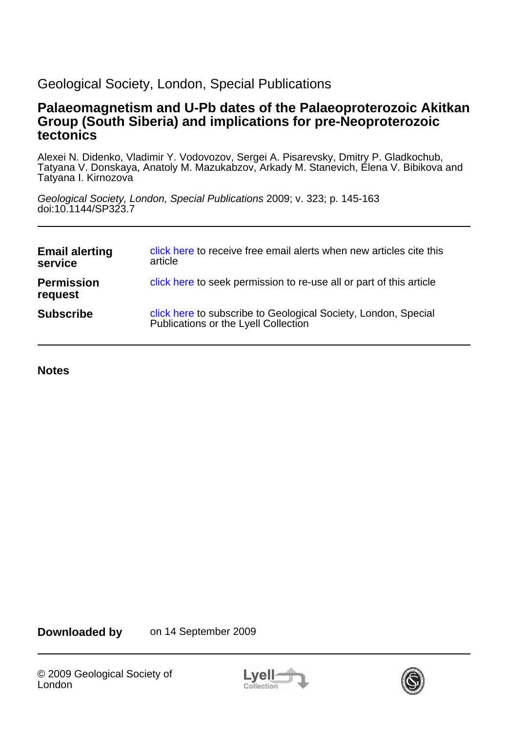# Geological Society, London, Special Publications

## **tectonics Group (South Siberia) and implications for pre-Neoproterozoic Palaeomagnetism and U-Pb dates of the Palaeoproterozoic Akitkan**

Tatyana I. Kirnozova Tatyana V. Donskaya, Anatoly M. Mazukabzov, Arkady M. Stanevich, Elena V. Bibikova and Alexei N. Didenko, Vladimir Y. Vodovozov, Sergei A. Pisarevsky, Dmitry P. Gladkochub,

doi:10.1144/SP323.7 Geological Society, London, Special Publications 2009; v. 323; p. 145-163

| <b>Email alerting</b><br>service | click here to receive free email alerts when new articles cite this<br>article                         |
|----------------------------------|--------------------------------------------------------------------------------------------------------|
| <b>Permission</b><br>request     | click here to seek permission to re-use all or part of this article                                    |
| <b>Subscribe</b>                 | click here to subscribe to Geological Society, London, Special<br>Publications or the Lyell Collection |

**Notes**

**Downloaded by** on 14 September 2009



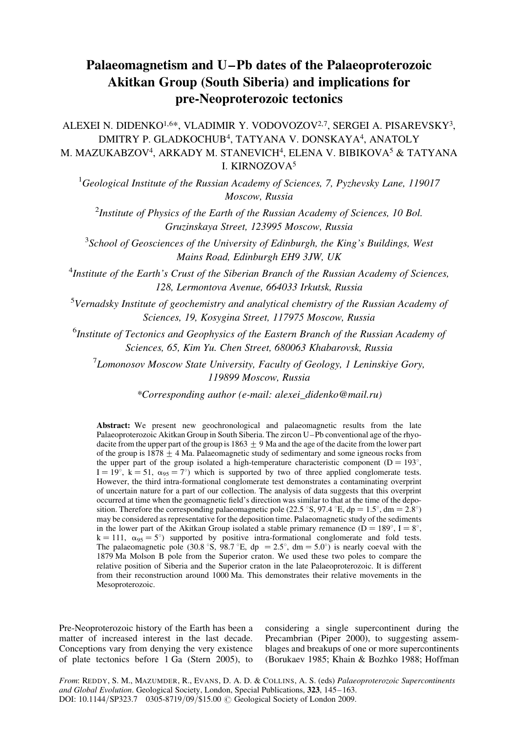# Palaeomagnetism and U –Pb dates of the Palaeoproterozoic Akitkan Group (South Siberia) and implications for pre-Neoproterozoic tectonics

ALEXEI N. DIDENKO<sup>1,6\*</sup>, VLADIMIR Y. VODOVOZOV<sup>2,7</sup>, SERGEI A. PISAREVSKY<sup>3</sup>, DMITRY P. GLADKOCHUB4, TATYANA V. DONSKAYA4, ANATOLY M. MAZUKABZOV4, ARKADY M. STANEVICH4, ELENA V. BIBIKOVA5 & TATYANA I. KIRNOZOVA5

<sup>1</sup>Geological Institute of the Russian Academy of Sciences, 7, Pyzhevsky Lane, 119017 Moscow, Russia

<sup>2</sup>Institute of Physics of the Earth of the Russian Academy of Sciences, 10 Bol. Gruzinskaya Street, 123995 Moscow, Russia

 $3$ School of Geosciences of the University of Edinburgh, the King's Buildings, West Mains Road, Edinburgh EH9 3JW, UK

<sup>4</sup>Institute of the Earth's Crust of the Siberian Branch of the Russian Academy of Sciences, 128, Lermontova Avenue, 664033 Irkutsk, Russia

<sup>5</sup>Vernadsky Institute of geochemistry and analytical chemistry of the Russian Academy of Sciences, 19, Kosygina Street, 117975 Moscow, Russia

<sup>6</sup>Institute of Tectonics and Geophysics of the Eastern Branch of the Russian Academy of Sciences, 65, Kim Yu. Chen Street, 680063 Khabarovsk, Russia

 $7$ Lomonosov Moscow State University, Faculty of Geology, 1 Leninskiye Gory, 119899 Moscow, Russia

\*Corresponding author (e-mail: alexei\_didenko@mail.ru)

Abstract: We present new geochronological and palaeomagnetic results from the late Palaeoproterozoic Akitkan Group in South Siberia. The zircon U–Pb conventional age of the rhyodacite from the upper part of the group is  $1863 + 9$  Ma and the age of the dacite from the lower part of the group is  $1878 \pm 4$  Ma. Palaeomagnetic study of sedimentary and some igneous rocks from the upper part of the group isolated a high-temperature characteristic component ( $D = 193^\circ$ ,  $I = 19^\circ$ ,  $k = 51$ ,  $\alpha_{95} = 7^\circ$ ) which is supported by two of three applied conglomerate tests. However, the third intra-formational conglomerate test demonstrates a contaminating overprint of uncertain nature for a part of our collection. The analysis of data suggests that this overprint occurred at time when the geomagnetic field's direction was similar to that at the time of the deposition. Therefore the corresponding palaeomagnetic pole (22.5 °S, 97.4 °E, dp = 1.5°, dm = 2.8°) may be considered as representative for the deposition time. Palaeomagnetic study of the sediments in the lower part of the Akitkan Group isolated a stable primary remanence ( $D = 189^{\circ}$ ,  $I = 8^{\circ}$ ,  $k = 111$ ,  $\alpha_{95} = 5^{\circ}$ ) supported by positive intra-formational conglomerate and fold tests. The palaeomagnetic pole (30.8 °S, 98.7 °E, dp = 2.5°, dm = 5.0°) is nearly coeval with the 1879 Ma Molson B pole from the Superior craton. We used these two poles to compare the relative position of Siberia and the Superior craton in the late Palaeoproterozoic. It is different from their reconstruction around 1000 Ma. This demonstrates their relative movements in the Mesoproterozoic.

Pre-Neoproterozoic history of the Earth has been a matter of increased interest in the last decade. Conceptions vary from denying the very existence of plate tectonics before 1 Ga (Stern 2005), to

considering a single supercontinent during the Precambrian (Piper 2000), to suggesting assemblages and breakups of one or more supercontinents (Borukaev 1985; Khain & Bozhko 1988; Hoffman

From: REDDY, S. M., MAZUMDER, R., EVANS, D. A. D. & COLLINS, A. S. (eds) Palaeoproterozoic Supercontinents and Global Evolution. Geological Society, London, Special Publications, 323, 145–163. DOI: 10.1144/SP323.7 0305-8719/09/\$15.00 @ Geological Society of London 2009.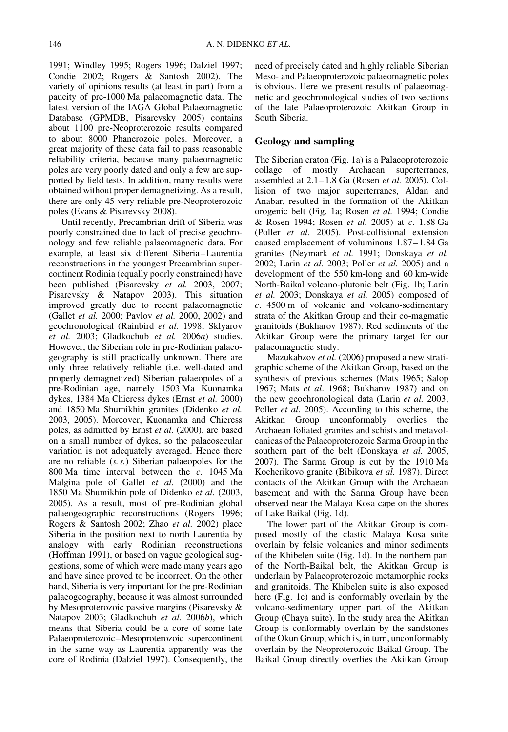1991; Windley 1995; Rogers 1996; Dalziel 1997; Condie 2002; Rogers & Santosh 2002). The variety of opinions results (at least in part) from a paucity of pre-1000 Ma palaeomagnetic data. The latest version of the IAGA Global Palaeomagnetic Database (GPMDB, Pisarevsky 2005) contains about 1100 pre-Neoproterozoic results compared to about 8000 Phanerozoic poles. Moreover, a great majority of these data fail to pass reasonable reliability criteria, because many palaeomagnetic poles are very poorly dated and only a few are supported by field tests. In addition, many results were obtained without proper demagnetizing. As a result, there are only 45 very reliable pre-Neoproterozoic poles (Evans & Pisarevsky 2008).

Until recently, Precambrian drift of Siberia was poorly constrained due to lack of precise geochronology and few reliable palaeomagnetic data. For example, at least six different Siberia–Laurentia reconstructions in the youngest Precambrian supercontinent Rodinia (equally poorly constrained) have been published (Pisarevsky et al. 2003, 2007; Pisarevsky & Natapov 2003). This situation improved greatly due to recent palaeomagnetic (Gallet et al. 2000; Pavlov et al. 2000, 2002) and geochronological (Rainbird et al. 1998; Sklyarov et al. 2003; Gladkochub et al. 2006a) studies. However, the Siberian role in pre-Rodinian palaeogeography is still practically unknown. There are only three relatively reliable (i.e. well-dated and properly demagnetized) Siberian palaeopoles of a pre-Rodinian age, namely 1503 Ma Kuonamka dykes, 1384 Ma Chieress dykes (Ernst et al. 2000) and 1850 Ma Shumikhin granites (Didenko et al. 2003, 2005). Moreover, Kuonamka and Chieress poles, as admitted by Ernst et al. (2000), are based on a small number of dykes, so the palaeosecular variation is not adequately averaged. Hence there are no reliable (s. s.) Siberian palaeopoles for the 800 Ma time interval between the c. 1045 Ma Malgina pole of Gallet et al. (2000) and the 1850 Ma Shumikhin pole of Didenko et al. (2003, 2005). As a result, most of pre-Rodinian global palaeogeographic reconstructions (Rogers 1996; Rogers & Santosh 2002; Zhao et al. 2002) place Siberia in the position next to north Laurentia by analogy with early Rodinian reconstructions (Hoffman 1991), or based on vague geological suggestions, some of which were made many years ago and have since proved to be incorrect. On the other hand, Siberia is very important for the pre-Rodinian palaeogeography, because it was almost surrounded by Mesoproterozoic passive margins (Pisarevsky & Natapov 2003; Gladkochub et al. 2006b), which means that Siberia could be a core of some late Palaeoproterozoic–Mesoproterozoic supercontinent in the same way as Laurentia apparently was the core of Rodinia (Dalziel 1997). Consequently, the

need of precisely dated and highly reliable Siberian Meso- and Palaeoproterozoic palaeomagnetic poles is obvious. Here we present results of palaeomagnetic and geochronological studies of two sections of the late Palaeoproterozoic Akitkan Group in South Siberia.

### Geology and sampling

The Siberian craton (Fig. 1a) is a Palaeoproterozoic collage of mostly Archaean superterranes, assembled at  $2.1-1.8$  Ga (Rosen et al. 2005). Collision of two major superterranes, Aldan and Anabar, resulted in the formation of the Akitkan orogenic belt (Fig. 1a; Rosen et al. 1994; Condie & Rosen 1994; Rosen et al. 2005) at c. 1.88 Ga (Poller et al. 2005). Post-collisional extension caused emplacement of voluminous 1.87–1.84 Ga granites (Neymark et al. 1991; Donskaya et al. 2002; Larin et al. 2003; Poller et al. 2005) and a development of the 550 km-long and 60 km-wide North-Baikal volcano-plutonic belt (Fig. 1b; Larin et al. 2003; Donskaya et al. 2005) composed of c. 4500 m of volcanic and volcano-sedimentary strata of the Akitkan Group and their co-magmatic granitoids (Bukharov 1987). Red sediments of the Akitkan Group were the primary target for our palaeomagnetic study.

Mazukabzov et al. (2006) proposed a new stratigraphic scheme of the Akitkan Group, based on the synthesis of previous schemes (Mats 1965; Salop 1967; Mats et al. 1968; Bukharov 1987) and on the new geochronological data (Larin et al. 2003; Poller *et al.* 2005). According to this scheme, the Akitkan Group unconformably overlies the Archaean foliated granites and schists and metavolcanicas of the Palaeoproterozoic Sarma Group in the southern part of the belt (Donskaya et al. 2005, 2007). The Sarma Group is cut by the 1910 Ma Kocherikovo granite (Bibikova et al. 1987). Direct contacts of the Akitkan Group with the Archaean basement and with the Sarma Group have been observed near the Malaya Kosa cape on the shores of Lake Baikal (Fig. 1d).

The lower part of the Akitkan Group is composed mostly of the clastic Malaya Kosa suite overlain by felsic volcanics and minor sediments of the Khibelen suite (Fig. 1d). In the northern part of the North-Baikal belt, the Akitkan Group is underlain by Palaeoproterozoic metamorphic rocks and granitoids. The Khibelen suite is also exposed here (Fig. 1c) and is conformably overlain by the volcano-sedimentary upper part of the Akitkan Group (Chaya suite). In the study area the Akitkan Group is conformably overlain by the sandstones of the Okun Group, which is, in turn, unconformably overlain by the Neoproterozoic Baikal Group. The Baikal Group directly overlies the Akitkan Group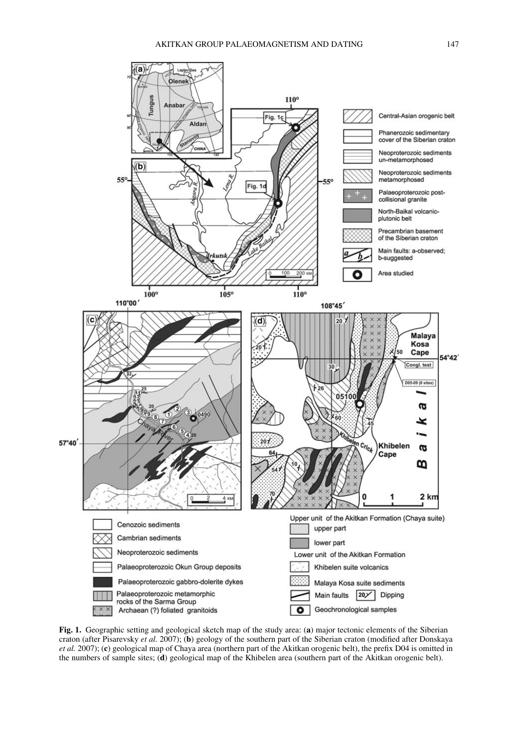

Fig. 1. Geographic setting and geological sketch map of the study area: (a) major tectonic elements of the Siberian craton (after Pisarevsky et al. 2007); (b) geology of the southern part of the Siberian craton (modified after Donskaya et al. 2007); (c) geological map of Chaya area (northern part of the Akitkan orogenic belt), the prefix D04 is omitted in the numbers of sample sites; (d) geological map of the Khibelen area (southern part of the Akitkan orogenic belt).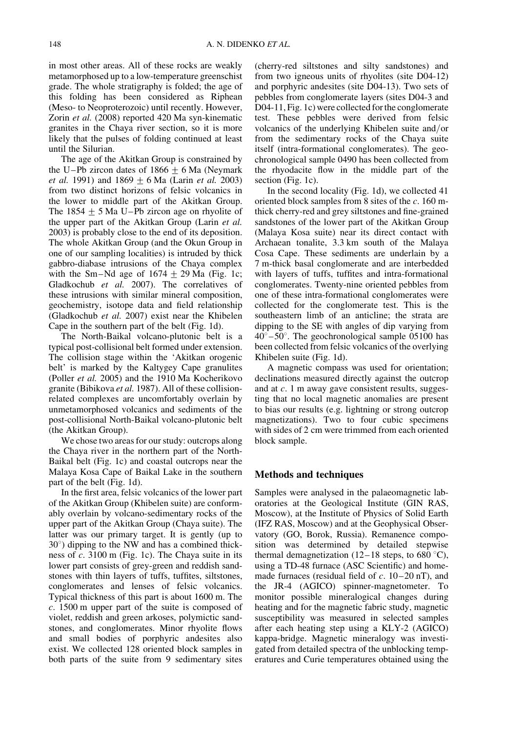in most other areas. All of these rocks are weakly metamorphosed up to a low-temperature greenschist grade. The whole stratigraphy is folded; the age of this folding has been considered as Riphean (Meso- to Neoproterozoic) until recently. However, Zorin et al. (2008) reported 420 Ma syn-kinematic granites in the Chaya river section, so it is more likely that the pulses of folding continued at least until the Silurian.

The age of the Akitkan Group is constrained by the U–Pb zircon dates of  $1866 \pm 6$  Ma (Neymark *et al.* 1991) and  $1869 + 6$  Ma (Larin *et al.* 2003) from two distinct horizons of felsic volcanics in the lower to middle part of the Akitkan Group. The  $1854 + 5$  Ma U–Pb zircon age on rhyolite of the upper part of the Akitkan Group (Larin et al. 2003) is probably close to the end of its deposition. The whole Akitkan Group (and the Okun Group in one of our sampling localities) is intruded by thick gabbro-diabase intrusions of the Chaya complex with the Sm–Nd age of  $1674 \pm 29$  Ma (Fig. 1c; Gladkochub et al. 2007). The correlatives of these intrusions with similar mineral composition, geochemistry, isotope data and field relationship (Gladkochub et al. 2007) exist near the Khibelen Cape in the southern part of the belt (Fig. 1d).

The North-Baikal volcano-plutonic belt is a typical post-collisional belt formed under extension. The collision stage within the 'Akitkan orogenic belt' is marked by the Kaltygey Cape granulites (Poller et al. 2005) and the 1910 Ma Kocherikovo granite (Bibikova et al. 1987). All of these collisionrelated complexes are uncomfortably overlain by unmetamorphosed volcanics and sediments of the post-collisional North-Baikal volcano-plutonic belt (the Akitkan Group).

We chose two areas for our study: outcrops along the Chaya river in the northern part of the North-Baikal belt (Fig. 1c) and coastal outcrops near the Malaya Kosa Cape of Baikal Lake in the southern part of the belt (Fig. 1d).

In the first area, felsic volcanics of the lower part of the Akitkan Group (Khibelen suite) are conformably overlain by volcano-sedimentary rocks of the upper part of the Akitkan Group (Chaya suite). The latter was our primary target. It is gently (up to  $30^\circ$ ) dipping to the NW and has a combined thickness of  $c$ . 3100 m (Fig. 1c). The Chaya suite in its lower part consists of grey-green and reddish sandstones with thin layers of tuffs, tuffites, siltstones, conglomerates and lenses of felsic volcanics. Typical thickness of this part is about 1600 m. The c. 1500 m upper part of the suite is composed of violet, reddish and green arkoses, polymictic sandstones, and conglomerates. Minor rhyolite flows and small bodies of porphyric andesites also exist. We collected 128 oriented block samples in both parts of the suite from 9 sedimentary sites

(cherry-red siltstones and silty sandstones) and from two igneous units of rhyolites (site D04-12) and porphyric andesites (site D04-13). Two sets of pebbles from conglomerate layers (sites D04-3 and D04-11, Fig. 1c) were collected for the conglomerate test. These pebbles were derived from felsic volcanics of the underlying Khibelen suite and/or from the sedimentary rocks of the Chaya suite itself (intra-formational conglomerates). The geochronological sample 0490 has been collected from the rhyodacite flow in the middle part of the section (Fig. 1c).

In the second locality (Fig. 1d), we collected 41 oriented block samples from 8 sites of the c. 160 mthick cherry-red and grey siltstones and fine-grained sandstones of the lower part of the Akitkan Group (Malaya Kosa suite) near its direct contact with Archaean tonalite, 3.3 km south of the Malaya Cosa Cape. These sediments are underlain by a 7 m-thick basal conglomerate and are interbedded with layers of tuffs, tuffites and intra-formational conglomerates. Twenty-nine oriented pebbles from one of these intra-formational conglomerates were collected for the conglomerate test. This is the southeastern limb of an anticline; the strata are dipping to the SE with angles of dip varying from  $40^{\circ} - 50^{\circ}$ . The geochronological sample 05100 has been collected from felsic volcanics of the overlying Khibelen suite (Fig. 1d).

A magnetic compass was used for orientation; declinations measured directly against the outcrop and at c. 1 m away gave consistent results, suggesting that no local magnetic anomalies are present to bias our results (e.g. lightning or strong outcrop magnetizations). Two to four cubic specimens with sides of 2 cm were trimmed from each oriented block sample.

#### Methods and techniques

Samples were analysed in the palaeomagnetic laboratories at the Geological Institute (GIN RAS, Moscow), at the Institute of Physics of Solid Earth (IFZ RAS, Moscow) and at the Geophysical Observatory (GO, Borok, Russia). Remanence composition was determined by detailed stepwise thermal demagnetization (12–18 steps, to 680  $\degree$ C), using a TD-48 furnace (ASC Scientific) and homemade furnaces (residual field of  $c$ . 10–20 nT), and the JR-4 (AGICO) spinner-magnetometer. To monitor possible mineralogical changes during heating and for the magnetic fabric study, magnetic susceptibility was measured in selected samples after each heating step using a KLY-2 (AGICO) kappa-bridge. Magnetic mineralogy was investigated from detailed spectra of the unblocking temperatures and Curie temperatures obtained using the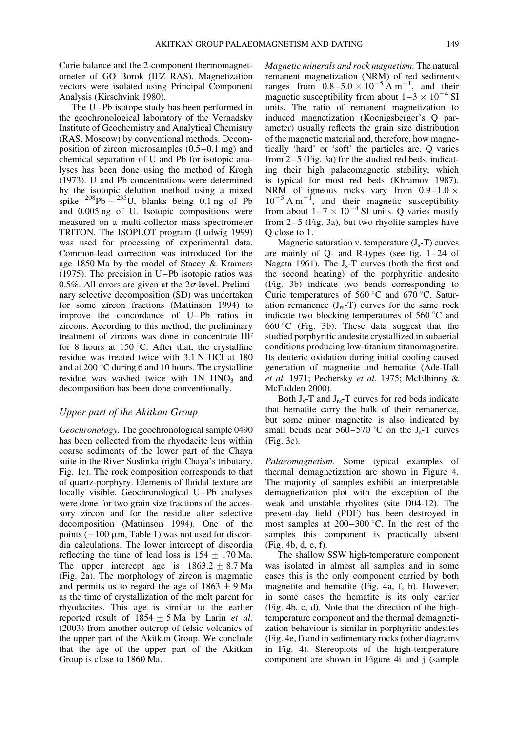Curie balance and the 2-component thermomagnetometer of GO Borok (IFZ RAS). Magnetization vectors were isolated using Principal Component Analysis (Kirschvink 1980).

The U–Pb isotope study has been performed in the geochronological laboratory of the Vernadsky Institute of Geochemistry and Analytical Chemistry (RAS, Moscow) by conventional methods. Decomposition of zircon microsamples (0.5–0.1 mg) and chemical separation of U and Pb for isotopic analyses has been done using the method of Krogh (1973). U and Pb concentrations were determined by the isotopic delution method using a mixed spike  $^{208}Pb + ^{235}U$ , blanks being 0.1 ng of Pb and 0.005 ng of U. Isotopic compositions were measured on a multi-collector mass spectrometer TRITON. The ISOPLOT program (Ludwig 1999) was used for processing of experimental data. Common-lead correction was introduced for the age 1850 Ma by the model of Stacey & Kramers (1975). The precision in U–Pb isotopic ratios was 0.5%. All errors are given at the  $2\sigma$  level. Preliminary selective decomposition (SD) was undertaken for some zircon fractions (Mattinson 1994) to improve the concordance of U–Pb ratios in zircons. According to this method, the preliminary treatment of zircons was done in concentrate HF for 8 hours at 150  $\degree$ C. After that, the crystalline residue was treated twice with 3.1 N HCl at 180 and at 200 $\degree$ C during 6 and 10 hours. The crystalline residue was washed twice with  $1N HNO<sub>3</sub>$  and decomposition has been done conventionally.

#### Upper part of the Akitkan Group

Geochronology. The geochronological sample 0490 has been collected from the rhyodacite lens within coarse sediments of the lower part of the Chaya suite in the River Suslinka (right Chaya's tributary, Fig. 1c). The rock composition corresponds to that of quartz-porphyry. Elements of fluidal texture are locally visible. Geochronological U–Pb analyses were done for two grain size fractions of the accessory zircon and for the residue after selective decomposition (Mattinson 1994). One of the points ( $+100 \mu m$ , Table 1) was not used for discordia calculations. The lower intercept of discordia reflecting the time of lead loss is  $154 \pm 170$  Ma. The upper intercept age is  $1863.2 \pm 8.7$  Ma (Fig. 2a). The morphology of zircon is magmatic and permits us to regard the age of  $1863 \pm 9$  Ma as the time of crystallization of the melt parent for rhyodacites. This age is similar to the earlier reported result of  $1854 \pm 5$  Ma by Larin *et al.* (2003) from another outcrop of felsic volcanics of the upper part of the Akitkan Group. We conclude that the age of the upper part of the Akitkan Group is close to 1860 Ma.

Magnetic minerals and rock magnetism. The natural remanent magnetization (NRM) of red sediments ranges from  $0.8-5.0 \times 10^{-5}$  A m<sup>-1</sup>, and their magnetic susceptibility from about  $1-3 \times 10^{-4}$  SI units. The ratio of remanent magnetization to induced magnetization (Koenigsberger's Q parameter) usually reflects the grain size distribution of the magnetic material and, therefore, how magnetically 'hard' or 'soft' the particles are. Q varies from 2–5 (Fig. 3a) for the studied red beds, indicating their high palaeomagnetic stability, which is typical for most red beds (Khramov 1987). NRM of igneous rocks vary from  $0.9-1.0 \times 10^{-5}$  A m<sup>-1</sup>, and their magnetic susceptibility from about  $1-7 \times 10^{-4}$  SI units. Q varies mostly from 2–5 (Fig. 3a), but two rhyolite samples have Q close to 1.

Magnetic saturation v. temperature  $(J_s-T)$  curves are mainly of  $Q$ - and R-types (see fig.  $1-24$  of Nagata 1961). The  $J_s$ -T curves (both the first and the second heating) of the porphyritic andesite (Fig. 3b) indicate two bends corresponding to Curie temperatures of 560  $\degree$ C and 670  $\degree$ C. Saturation remanence  $(J_{rs}-T)$  curves for the same rock indicate two blocking temperatures of  $560\textdegree C$  and  $660 °C$  (Fig. 3b). These data suggest that the studied porphyritic andesite crystallized in subaerial conditions producing low-titanium titanomagnetite. Its deuteric oxidation during initial cooling caused generation of magnetite and hematite (Ade-Hall et al. 1971; Pechersky et al. 1975; McElhinny & McFadden 2000).

Both  $J_s$ -T and  $J_{rs}$ -T curves for red beds indicate that hematite carry the bulk of their remanence, but some minor magnetite is also indicated by small bends near  $560-570$  °C on the J<sub>s</sub>-T curves (Fig. 3c).

Palaeomagnetism. Some typical examples of thermal demagnetization are shown in Figure 4. The majority of samples exhibit an interpretable demagnetization plot with the exception of the weak and unstable rhyolites (site D04-12). The present-day field (PDF) has been destroyed in most samples at  $200-300$  °C. In the rest of the samples this component is practically absent (Fig. 4b, d, e, f).

The shallow SSW high-temperature component was isolated in almost all samples and in some cases this is the only component carried by both magnetite and hematite (Fig. 4a, f, h). However, in some cases the hematite is its only carrier (Fig. 4b, c, d). Note that the direction of the hightemperature component and the thermal demagnetization behaviour is similar in porphyritic andesites (Fig. 4e, f) and in sedimentary rocks (other diagrams in Fig. 4). Stereoplots of the high-temperature component are shown in Figure 4i and j (sample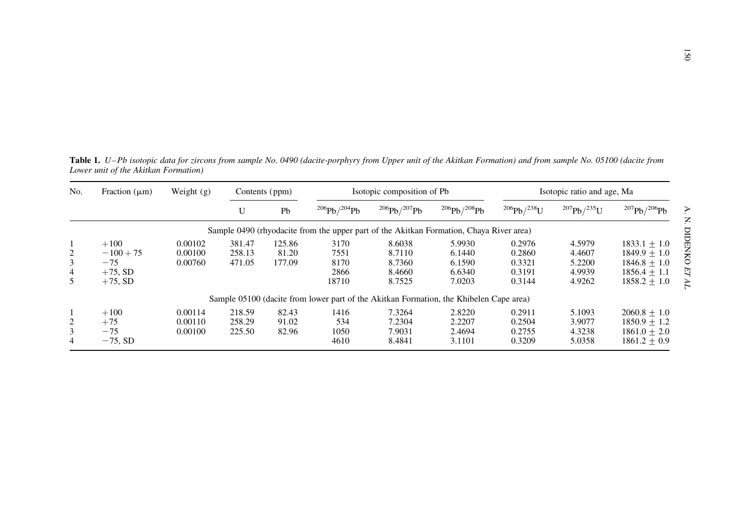Table 1. U–Pb isotopic data for zircons from sample No. 0490 (dacite-porphyry from Upper unit of the Akitkan Formation) and from sample No. 05100 (dacite from Lower unit of the Akitkan Formation)

| No.                           | Fraction $(\mu m)$                                         | Weight $(g)$                  | Contents (ppm)             |                           |                                       | Isotopic composition of Pb                     |                                                                                         |                                                | Isotopic ratio and age, Ma                     |                                                                                        |
|-------------------------------|------------------------------------------------------------|-------------------------------|----------------------------|---------------------------|---------------------------------------|------------------------------------------------|-----------------------------------------------------------------------------------------|------------------------------------------------|------------------------------------------------|----------------------------------------------------------------------------------------|
|                               |                                                            |                               | U                          | Pb                        | $^{206}Pb/^{204}Pb$                   | $^{206}Pb/^{207}Pb$                            | $^{206}Pb/^{208}Pb$                                                                     | $^{206}Pb/^{238}U$                             | $^{207}Pb/^{235}U$                             | $^{207}Pb/^{206}Pb$                                                                    |
|                               |                                                            |                               |                            |                           |                                       |                                                | Sample 0490 (rhyodacite from the upper part of the Akitkan Formation, Chaya River area) |                                                |                                                |                                                                                        |
| 2<br>3<br>$\overline{4}$<br>5 | $+100$<br>$-100 + 75$<br>$-75$<br>$+75$ , SD<br>$+75$ , SD | 0.00102<br>0.00100<br>0.00760 | 381.47<br>258.13<br>471.05 | 125.86<br>81.20<br>177.09 | 3170<br>7551<br>8170<br>2866<br>18710 | 8.6038<br>8.7110<br>8.7360<br>8.4660<br>8.7525 | 5.9930<br>6.1440<br>6.1590<br>6.6340<br>7.0203                                          | 0.2976<br>0.2860<br>0.3321<br>0.3191<br>0.3144 | 4.5979<br>4.4607<br>5.2200<br>4.9939<br>4.9262 | $1833.1 + 1.0$<br>$1849.9 + 1.0$<br>$1846.8 + 1.0$<br>$1856.4 + 1.1$<br>$1858.2 + 1.0$ |
|                               |                                                            |                               |                            |                           |                                       |                                                | Sample 05100 (dacite from lower part of the Akitkan Formation, the Khibelen Cape area)  |                                                |                                                |                                                                                        |
| 2<br>3<br>4                   | $+100$<br>$+75$<br>$-75$<br>$-75$ , SD                     | 0.00114<br>0.00110<br>0.00100 | 218.59<br>258.29<br>225.50 | 82.43<br>91.02<br>82.96   | 1416<br>534<br>1050<br>4610           | 7.3264<br>7.2304<br>7.9031<br>8.4841           | 2.8220<br>2.2207<br>2.4694<br>3.1101                                                    | 0.2911<br>0.2504<br>0.2755<br>0.3209           | 5.1093<br>3.9077<br>4.3238<br>5.0358           | $2060.8 + 1.0$<br>$1850.9 + 1.2$<br>$1861.0 + 2.0$<br>$1861.2 + 0.9$                   |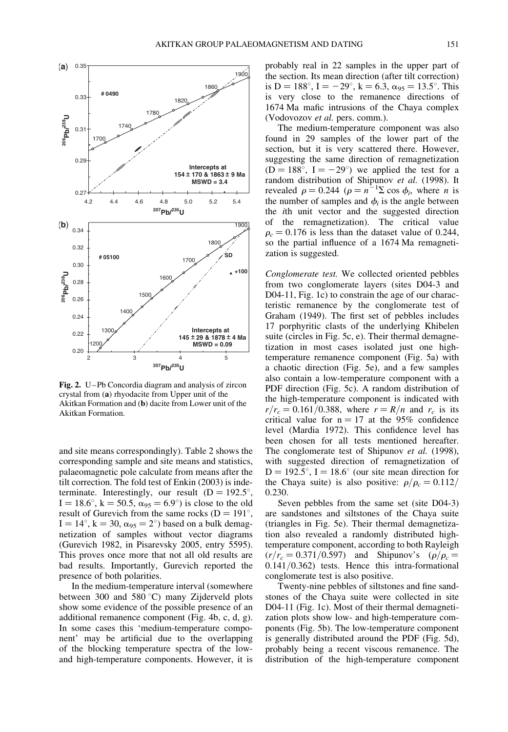

Fig. 2. U–Pb Concordia diagram and analysis of zircon crystal from (a) rhyodacite from Upper unit of the Akitkan Formation and (b) dacite from Lower unit of the Akitkan Formation.

and site means correspondingly). Table 2 shows the corresponding sample and site means and statistics, palaeomagnetic pole calculate from means after the tilt correction. The fold test of Enkin (2003) is indeterminate. Interestingly, our result  $(D = 192.5^{\circ})$ ,  $I = 18.6^{\circ}$ ,  $k = 50.5$ ,  $\alpha_{95} = 6.9^{\circ}$ ) is close to the old result of Gurevich from the same rocks ( $D = 191^{\circ}$ ,  $I = 14^{\circ}$ ,  $k = 30$ ,  $\alpha_{95} = 2^{\circ}$ ) based on a bulk demagnetization of samples without vector diagrams (Gurevich 1982, in Pisarevsky 2005, entry 5595). This proves once more that not all old results are bad results. Importantly, Gurevich reported the presence of both polarities.

In the medium-temperature interval (somewhere between 300 and 580 °C) many Zijderveld plots show some evidence of the possible presence of an additional remanence component (Fig. 4b, c, d, g). In some cases this 'medium-temperature component' may be artificial due to the overlapping of the blocking temperature spectra of the lowand high-temperature components. However, it is probably real in 22 samples in the upper part of the section. Its mean direction (after tilt correction) is D = 188°, I = -29°, k = 6.3,  $\alpha_{95}$  = 13.5°. This is very close to the remanence directions of 1674 Ma mafic intrusions of the Chaya complex (Vodovozov et al. pers. comm.).

The medium-temperature component was also found in 29 samples of the lower part of the section, but it is very scattered there. However, suggesting the same direction of remagnetization  $(D = 188^{\circ}, I = -29^{\circ})$  we applied the test for a random distribution of Shipunov et al. (1998). It revealed  $\rho = 0.244$  ( $\rho = n^{-1}\Sigma \cos \phi_i$ , where *n* is the number of samples and  $\phi_i$  is the angle between the ith unit vector and the suggested direction of the remagnetization). The critical value  $\rho_c = 0.176$  is less than the dataset value of 0.244, so the partial influence of a 1674 Ma remagnetization is suggested.

Conglomerate test. We collected oriented pebbles from two conglomerate layers (sites D04-3 and D04-11, Fig. 1c) to constrain the age of our characteristic remanence by the conglomerate test of Graham (1949). The first set of pebbles includes 17 porphyritic clasts of the underlying Khibelen suite (circles in Fig. 5c, e). Their thermal demagnetization in most cases isolated just one hightemperature remanence component (Fig. 5a) with a chaotic direction (Fig. 5e), and a few samples also contain a low-temperature component with a PDF direction (Fig. 5c). A random distribution of the high-temperature component is indicated with  $r/r_c = 0.161/0.388$ , where  $r = R/n$  and  $r_c$  is its critical value for  $n = 17$  at the 95% confidence level (Mardia 1972). This confidence level has been chosen for all tests mentioned hereafter. The conglomerate test of Shipunov et al. (1998), with suggested direction of remagnetization of  $D = 192.5^{\circ}$ , I = 18.6° (our site mean direction for the Chaya suite) is also positive:  $\rho/\rho_c = 0.112/$ 0.230.

Seven pebbles from the same set (site D04-3) are sandstones and siltstones of the Chaya suite (triangles in Fig. 5e). Their thermal demagnetization also revealed a randomly distributed hightemperature component, according to both Rayleigh  $(r/r_c = 0.371/0.597)$  and Shipunov's  $(\rho/\rho_c =$ 0.141/0.362) tests. Hence this intra-formational conglomerate test is also positive.

Twenty-nine pebbles of siltstones and fine sandstones of the Chaya suite were collected in site D04-11 (Fig. 1c). Most of their thermal demagnetization plots show low- and high-temperature components (Fig. 5b). The low-temperature component is generally distributed around the PDF (Fig. 5d), probably being a recent viscous remanence. The distribution of the high-temperature component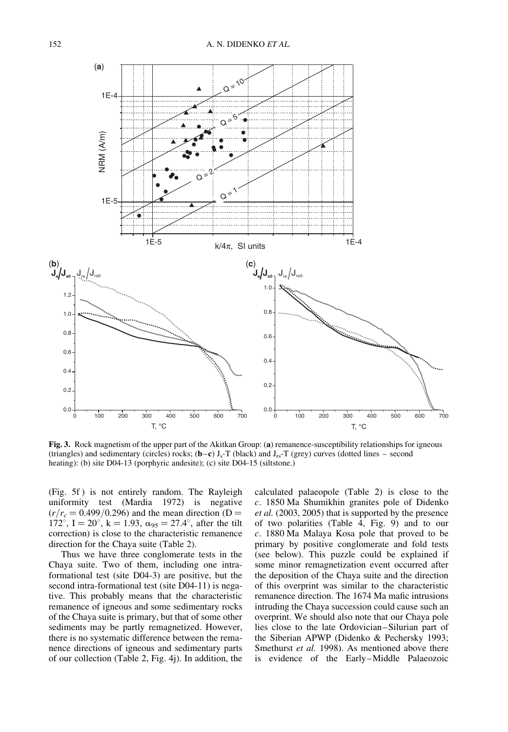

Fig. 3. Rock magnetism of the upper part of the Akitkan Group: (a) remanence-susceptibility relationships for igneous (triangles) and sedimentary (circles) rocks;  $(b-c) J_s$ -T (black) and  $J_{rs}$ -T (grey) curves (dotted lines – second heating): (b) site D04-13 (porphyric andesite); (c) site D04-15 (siltstone.)

(Fig. 5f ) is not entirely random. The Rayleigh uniformity test (Mardia 1972) is negative  $(r/r_c = 0.499/0.296)$  and the mean direction (D = 172°, I = 20°, k = 1.93,  $\alpha_{95} = 27.4$ °, after the tilt correction) is close to the characteristic remanence direction for the Chaya suite (Table 2).

Thus we have three conglomerate tests in the Chaya suite. Two of them, including one intraformational test (site D04-3) are positive, but the second intra-formational test (site D04-11) is negative. This probably means that the characteristic remanence of igneous and some sedimentary rocks of the Chaya suite is primary, but that of some other sediments may be partly remagnetized. However, there is no systematic difference between the remanence directions of igneous and sedimentary parts of our collection (Table 2, Fig. 4j). In addition, the calculated palaeopole (Table 2) is close to the c. 1850 Ma Shumikhin granites pole of Didenko et al. (2003, 2005) that is supported by the presence of two polarities (Table 4, Fig. 9) and to our c. 1880 Ma Malaya Kosa pole that proved to be primary by positive conglomerate and fold tests (see below). This puzzle could be explained if some minor remagnetization event occurred after the deposition of the Chaya suite and the direction of this overprint was similar to the characteristic remanence direction. The 1674 Ma mafic intrusions intruding the Chaya succession could cause such an overprint. We should also note that our Chaya pole lies close to the late Ordovician–Silurian part of the Siberian APWP (Didenko & Pechersky 1993; Smethurst *et al.* 1998). As mentioned above there is evidence of the Early–Middle Palaeozoic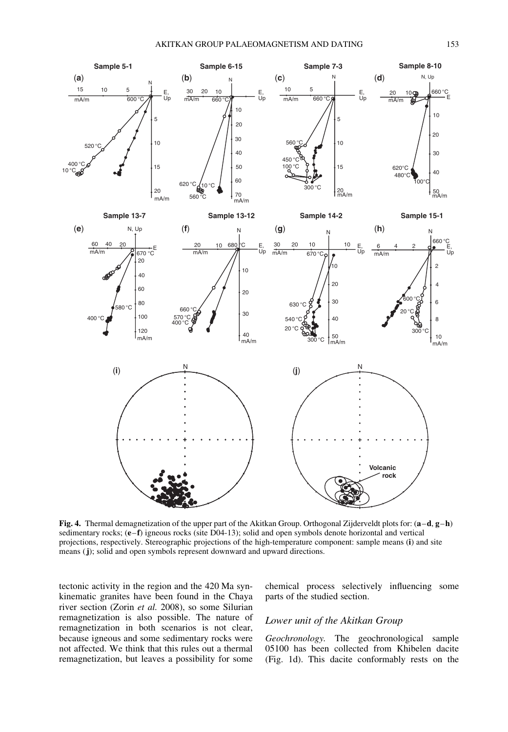

Fig. 4. Thermal demagnetization of the upper part of the Akitkan Group. Orthogonal Zijderveldt plots for: (a–d, g–h) sedimentary rocks; (e–f) igneous rocks (site D04-13); solid and open symbols denote horizontal and vertical projections, respectively. Stereographic projections of the high-temperature component: sample means (i) and site means (j); solid and open symbols represent downward and upward directions.

tectonic activity in the region and the 420 Ma synkinematic granites have been found in the Chaya river section (Zorin et al. 2008), so some Silurian remagnetization is also possible. The nature of remagnetization in both scenarios is not clear, because igneous and some sedimentary rocks were not affected. We think that this rules out a thermal remagnetization, but leaves a possibility for some chemical process selectively influencing some parts of the studied section.

#### Lower unit of the Akitkan Group

Geochronology. The geochronological sample 05100 has been collected from Khibelen dacite (Fig. 1d). This dacite conformably rests on the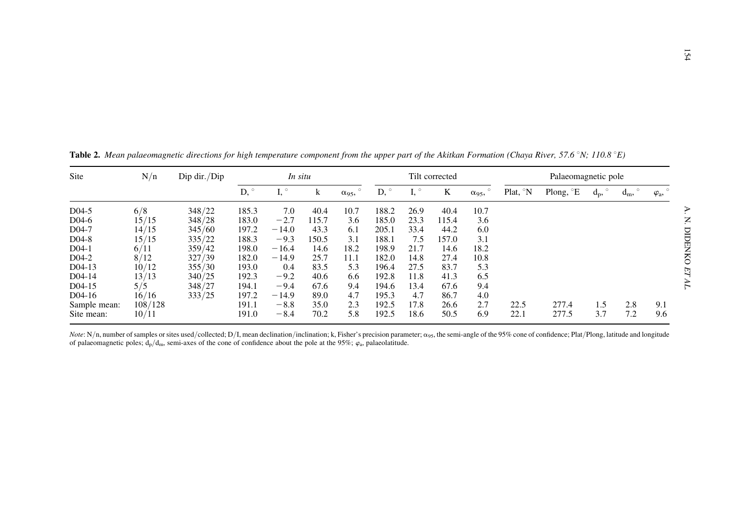| Site               | N/n     | Dip dir./Dip |            | In situ       |       |               |       |      | Tilt corrected |               |                     | Palaeomagnetic pole |       |                  |                   |
|--------------------|---------|--------------|------------|---------------|-------|---------------|-------|------|----------------|---------------|---------------------|---------------------|-------|------------------|-------------------|
|                    |         |              | $D, \circ$ | I, $^{\circ}$ | k     | $\alpha_{95}$ | D,    | 1,   | K              | $\alpha_{95}$ | Plat, $\mathcal{N}$ | Plong, °E           | $d_p$ | $\circ$<br>$d_m$ | $\varphi_{\rm a}$ |
| D <sub>04</sub> -5 | 6/8     | 348/22       | 185.3      | 7.0           | 40.4  | 10.7          | 188.2 | 26.9 | 40.4           | 10.7          |                     |                     |       |                  |                   |
| D <sub>04</sub> -6 | 15/15   | 348/28       | 183.0      | $-2.7$        | 115.7 | 3.6           | 185.0 | 23.3 | 115.4          | 3.6           |                     |                     |       |                  |                   |
| D <sub>04</sub> -7 | 14/15   | 345/60       | 197.2      | $-14.0$       | 43.3  | 6.1           | 205.1 | 33.4 | 44.2           | 6.0           |                     |                     |       |                  |                   |
| D04-8              | 15/15   | 335/22       | 188.3      | $-9.3$        | 150.5 | 3.1           | 188.1 | 7.5  | 157.0          | 3.1           |                     |                     |       |                  |                   |
| $D04-1$            | 6/11    | 359/42       | 198.0      | $-16.4$       | 14.6  | 18.2          | 198.9 | 21.7 | 14.6           | 18.2          |                     |                     |       |                  |                   |
| $D04-2$            | 8/12    | 327/39       | 182.0      | $-14.9$       | 25.7  | 11.1          | 182.0 | 14.8 | 27.4           | 10.8          |                     |                     |       |                  |                   |
| $D04-13$           | 10/12   | 355/30       | 193.0      | 0.4           | 83.5  | 5.3           | 196.4 | 27.5 | 83.7           | 5.3           |                     |                     |       |                  |                   |
| D04-14             | 13/13   | 340/25       | 192.3      | $-9.2$        | 40.6  | 6.6           | 192.8 | 11.8 | 41.3           | 6.5           |                     |                     |       |                  |                   |
| D04-15             | 5/5     | 348/27       | 194.1      | $-9.4$        | 67.6  | 9.4           | 194.6 | 13.4 | 67.6           | 9.4           |                     |                     |       |                  |                   |
| D04-16             | 16/16   | 333/25       | 197.2      | $-14.9$       | 89.0  | 4.7           | 195.3 | 4.7  | 86.7           | 4.0           |                     |                     |       |                  |                   |
| Sample mean:       | 108/128 |              | 191.1      | $-8.8$        | 35.0  | 2.3           | 192.5 | 17.8 | 26.6           | 2.7           | 22.5                | 277.4               | 1.5   | 2.8              | 9.1               |
| Site mean:         | 10/11   |              | 191.0      | $-8.4$        | 70.2  | 5.8           | 192.5 | 18.6 | 50.5           | 6.9           | 22.1                | 277.5               | 3.7   | 7.2              | 9.6               |

**Table 2.** Mean palaeomagnetic directions for high temperature component from the upper part of the Akitkan Formation (Chaya River, 57.6 °N; 110.8 °E)

*Note*: N/n, number of samples or sites used/collected; D/I, mean declination/inclination; k, Fisher's precision parameter;  $\alpha_{95}$ , the semi-angle of the 95% cone of confidence; Plat/Plong, latitude and longitude and lo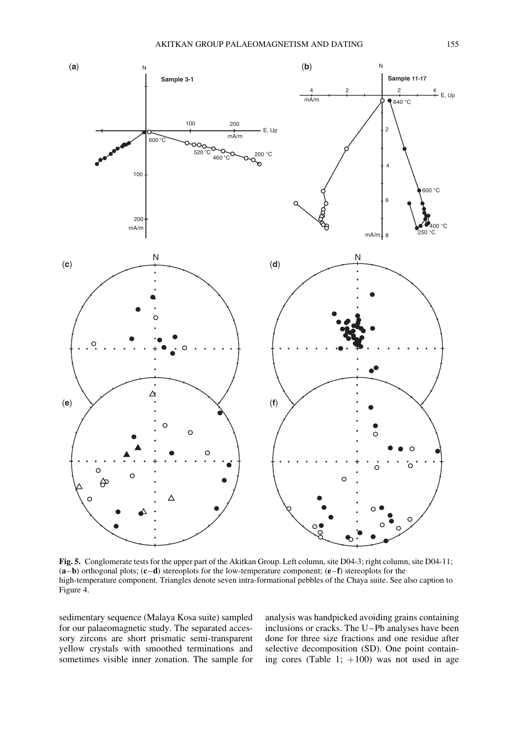

Fig. 5. Conglomerate tests for the upper part of the Akitkan Group. Left column, site D04-3; right column, site D04-11;  $(a-b)$  orthogonal plots;  $(c-d)$  stereoplots for the low-temperature component;  $(e-f)$  stereoplots for the high-temperature component. Triangles denote seven intra-formational pebbles of the Chaya suite. See also caption to Figure 4.

sedimentary sequence (Malaya Kosa suite) sampled for our palaeomagnetic study. The separated accessory zircons are short prismatic semi-transparent yellow crystals with smoothed terminations and sometimes visible inner zonation. The sample for

analysis was handpicked avoiding grains containing inclusions or cracks. The U–Pb analyses have been done for three size fractions and one residue after selective decomposition (SD). One point containing cores (Table 1;  $+100$ ) was not used in age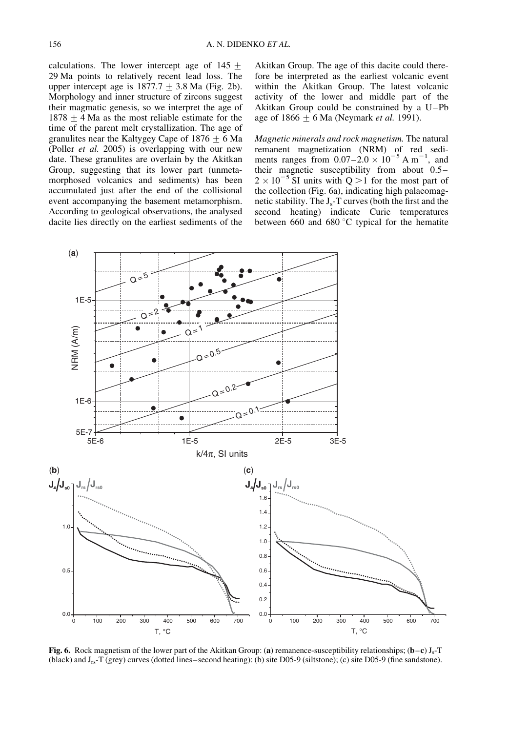calculations. The lower intercept age of  $145 +$ 29 Ma points to relatively recent lead loss. The upper intercept age is  $1877.7 \pm 3.8$  Ma (Fig. 2b). Morphology and inner structure of zircons suggest their magmatic genesis, so we interpret the age of  $1878 + 4$  Ma as the most reliable estimate for the time of the parent melt crystallization. The age of granulites near the Kaltygey Cape of  $1876 + 6$  Ma (Poller et al. 2005) is overlapping with our new date. These granulites are overlain by the Akitkan Group, suggesting that its lower part (unmetamorphosed volcanics and sediments) has been accumulated just after the end of the collisional event accompanying the basement metamorphism. According to geological observations, the analysed dacite lies directly on the earliest sediments of the

Akitkan Group. The age of this dacite could therefore be interpreted as the earliest volcanic event within the Akitkan Group. The latest volcanic activity of the lower and middle part of the Akitkan Group could be constrained by a U–Pb age of  $1866 \pm 6$  Ma (Neymark *et al.* 1991).

Magnetic minerals and rock magnetism. The natural remanent magnetization (NRM) of red sediments ranges from  $0.07-2.0 \times 10^{-5}$  A m<sup>-1</sup>, and their magnetic susceptibility from about 0.5–  $2 \times 10^{-5}$  SI units with Q > 1 for the most part of the collection (Fig. 6a), indicating high palaeomagnetic stability. The  $J_s$ -T curves (both the first and the second heating) indicate Curie temperatures between 660 and 680 $\degree$ C typical for the hematite



Fig. 6. Rock magnetism of the lower part of the Akitkan Group: (a) remanence-susceptibility relationships;  $(b-c) J_s$ -T (black) and Jrs-T (grey) curves (dotted lines–second heating): (b) site D05-9 (siltstone); (c) site D05-9 (fine sandstone).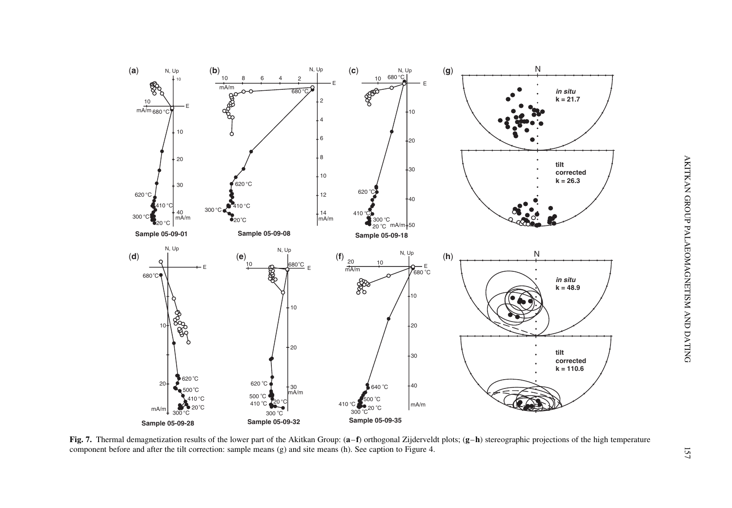

Fig. 7. Thermal demagnetization results of the lower part of the Akitkan Group:  $(a-f)$  orthogonal Zijderveldt plots;  $(g-h)$  stereographic projections of the high temperature componen<sup>t</sup> before and after the tilt correction: sample means (g) and site means (h). See caption to Figure 4.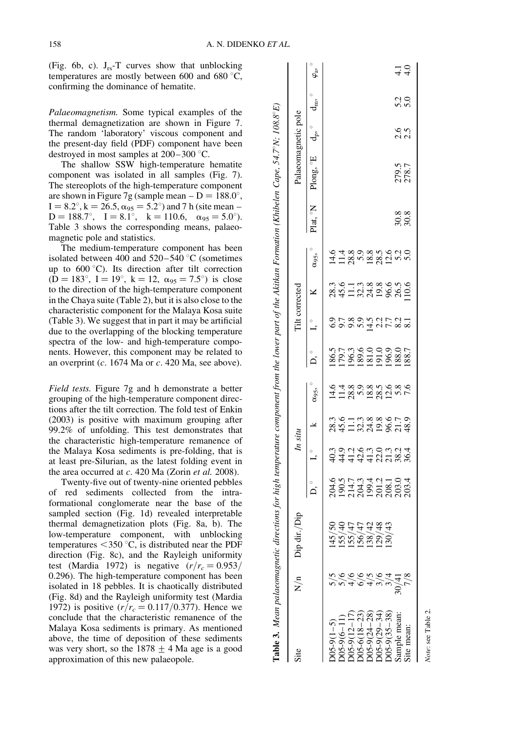(Fig. 6b, c).  $J_{rs}$ -T curves show that unblocking temperatures are mostly between 600 and 680 $\degree$ C, confirming the dominance of hematite.

Palaeomagnetism. Some typical examples of the thermal demagnetization are shown in Figure 7. The random 'laboratory' viscous component and the present-day field (PDF) component have been destroyed in most samples at  $200-300$  °C.

The shallow SSW high-temperature hematite component was isolated in all samples (Fig. 7). The stereoplots of the high-temperature component are shown in Figure 7g (sample mean  $- D = 188.0^{\circ}$ ,  $I = 8.2^{\circ}$ , k = 26.5,  $\alpha_{95} = 5.2^{\circ}$ ) and 7 h (site mean –  $D = 188.7^{\circ}$ ,  $I = 8.1^{\circ}$ ,  $k = 110.6$ ,  $\alpha_{95} = 5.0^{\circ}$ ). Table 3 shows the corresponding means, palaeomagnetic pole and statistics.

The medium-temperature component has been isolated between 400 and  $520-540$  °C (sometimes up to  $600^{\circ}$ C). Its direction after tilt correction  $(D = 183^{\circ}, I = 19^{\circ}, k = 12, \alpha_{95} = 7.5^{\circ})$  is close to the direction of the high-temperature component in the Chaya suite (Table 2), but it is also close to the characteristic component for the Malaya Kosa suite (Table 3). We suggest that in part it may be artificial due to the overlapping of the blocking temperature spectra of the low- and high-temperature components. However, this component may be related to an overprint  $(c. 1674 \text{ Ma or } c. 420 \text{ Ma}, \text{see above}).$ 

Field tests. Figure 7g and h demonstrate a better grouping of the high-temperature component directions after the tilt correction. The fold test of Enkin (2003) is positive with maximum grouping after 99.2% of unfolding. This test demonstrates that the characteristic high-temperature remanence of the Malaya Kosa sediments is pre-folding, that is at least pre-Silurian, as the latest folding event in the area occurred at  $c$ . 420 Ma (Zorin *et al.* 2008).

Twenty-five out of twenty-nine oriented pebbles of red sediments collected from the intraformational conglomerate near the base of the sampled section (Fig. 1d) revealed interpretable thermal demagnetization plots (Fig. 8a, b). The low-temperature component, with unblocking temperatures  $<$  350 °C, is distributed near the PDF direction (Fig. 8c), and the Rayleigh uniformity test (Mardia 1972) is negative  $(r/r_c = 0.953)$ 0.296). The high-temperature component has been isolated in 18 pebbles. It is chaotically distributed (Fig. 8d) and the Rayleigh uniformity test (Mardia 1972) is positive  $(r/r_c = 0.117/0.377)$ . Hence we conclude that the characteristic remanence of the Malaya Kosa sediments is primary. As mentioned above, the time of deposition of these sediments was very short, so the  $1878 \pm 4$  Ma age is a good approximation of this new palaeopole.

| Table 3. Mean palaeomagnetic direct                                                       |     |                                                                                                           |                         |                           |      |                                                                        |                               |                  |                                                    |                      | ctions for high temperature component from the lower part of the Akitkan Formation (Khibelen Cape, 54.7 N; 108.8°E) |            |            |                             |
|-------------------------------------------------------------------------------------------|-----|-----------------------------------------------------------------------------------------------------------|-------------------------|---------------------------|------|------------------------------------------------------------------------|-------------------------------|------------------|----------------------------------------------------|----------------------|---------------------------------------------------------------------------------------------------------------------|------------|------------|-----------------------------|
| Site                                                                                      | N/n | å<br>Dip dir.                                                                                             | In situ                 |                           |      |                                                                        |                               | Tilt corrected   |                                                    |                      | Palaeomagnetic pole                                                                                                 |            |            |                             |
|                                                                                           |     |                                                                                                           |                         |                           | య్య, | 。<br>Q                                                                 |                               |                  | $\alpha$ <sub>95</sub> ,                           | Plat, <sup>o</sup> N | Plong, $\mathrm{^{0}E}$                                                                                             | ံ<br>၁     | 。<br>dn:   | ¢.                          |
|                                                                                           |     |                                                                                                           |                         |                           |      |                                                                        |                               |                  |                                                    |                      |                                                                                                                     |            |            |                             |
| D05-9(1-5)<br>D05-9(6-11)<br>D05-9(12-17)<br>D05-9(24-28)<br>D05-9(29-34)<br>D05-9(35-38) |     | とさきと<br>$\frac{1}{4}$ $\frac{1}{2}$ $\frac{1}{2}$ $\frac{1}{2}$ $\frac{1}{2}$ $\frac{1}{2}$ $\frac{1}{2}$ | 9444421888<br>944442188 | 33513386559<br>8451335853 |      | 186.5<br>179.6.3<br>196.3.8.9.9.0.0<br>181.0.0.0.0.0.0.0.1<br>188.7.18 | or son drir dr<br>ooon dur sa | 3<br>84513388856 | 6 1 1 2 9 9 2 9 9 9 9 9<br>1 1 2 9 0 2 2 9 1 9 9 0 |                      |                                                                                                                     |            |            |                             |
|                                                                                           |     |                                                                                                           |                         |                           |      |                                                                        |                               |                  |                                                    |                      |                                                                                                                     |            |            |                             |
|                                                                                           |     |                                                                                                           |                         |                           |      |                                                                        |                               |                  |                                                    |                      |                                                                                                                     |            |            |                             |
|                                                                                           |     | 7489                                                                                                      |                         |                           |      |                                                                        |                               |                  |                                                    |                      |                                                                                                                     |            |            |                             |
|                                                                                           |     |                                                                                                           |                         |                           |      |                                                                        |                               |                  |                                                    |                      |                                                                                                                     |            |            |                             |
|                                                                                           |     |                                                                                                           |                         |                           |      |                                                                        |                               |                  |                                                    |                      |                                                                                                                     |            |            |                             |
| ample mean                                                                                |     |                                                                                                           |                         |                           |      |                                                                        |                               |                  |                                                    |                      | 279.5<br>278.7                                                                                                      |            |            | $\frac{1}{4}$ $\frac{1}{4}$ |
| ite mean                                                                                  |     |                                                                                                           |                         |                           |      |                                                                        |                               |                  |                                                    | 30.8<br>30.8         |                                                                                                                     | 0.5<br>2.5 | 5.3<br>5.0 |                             |
|                                                                                           |     |                                                                                                           |                         |                           |      |                                                                        |                               |                  |                                                    |                      |                                                                                                                     |            |            |                             |

Note: see Table 2. Note: see Table 2.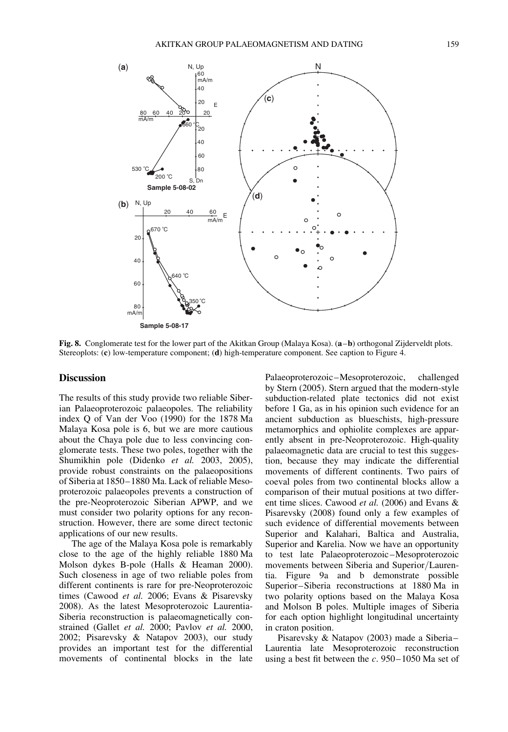

Fig. 8. Conglomerate test for the lower part of the Akitkan Group (Malaya Kosa). (a–b) orthogonal Zijderveldt plots. Stereoplots: (c) low-temperature component; (d) high-temperature component. See caption to Figure 4.

#### **Discussion**

The results of this study provide two reliable Siberian Palaeoproterozoic palaeopoles. The reliability index Q of Van der Voo (1990) for the 1878 Ma Malaya Kosa pole is 6, but we are more cautious about the Chaya pole due to less convincing conglomerate tests. These two poles, together with the Shumikhin pole (Didenko et al. 2003, 2005), provide robust constraints on the palaeopositions of Siberia at 1850–1880 Ma. Lack of reliable Mesoproterozoic palaeopoles prevents a construction of the pre-Neoproterozoic Siberian APWP, and we must consider two polarity options for any reconstruction. However, there are some direct tectonic applications of our new results.

The age of the Malaya Kosa pole is remarkably close to the age of the highly reliable 1880 Ma Molson dykes B-pole (Halls & Heaman 2000). Such closeness in age of two reliable poles from different continents is rare for pre-Neoproterozoic times (Cawood et al. 2006; Evans & Pisarevsky 2008). As the latest Mesoproterozoic Laurentia-Siberia reconstruction is palaeomagnetically constrained (Gallet et al. 2000; Pavlov et al. 2000, 2002; Pisarevsky & Natapov 2003), our study provides an important test for the differential movements of continental blocks in the late

Palaeoproterozoic–Mesoproterozoic, challenged by Stern (2005). Stern argued that the modern-style subduction-related plate tectonics did not exist before 1 Ga, as in his opinion such evidence for an ancient subduction as blueschists, high-pressure metamorphics and ophiolite complexes are apparently absent in pre-Neoproterozoic. High-quality palaeomagnetic data are crucial to test this suggestion, because they may indicate the differential movements of different continents. Two pairs of coeval poles from two continental blocks allow a comparison of their mutual positions at two different time slices. Cawood et al. (2006) and Evans & Pisarevsky (2008) found only a few examples of such evidence of differential movements between Superior and Kalahari, Baltica and Australia, Superior and Karelia. Now we have an opportunity to test late Palaeoproterozoic–Mesoproterozoic movements between Siberia and Superior/Laurentia. Figure 9a and b demonstrate possible Superior–Siberia reconstructions at 1880 Ma in two polarity options based on the Malaya Kosa and Molson B poles. Multiple images of Siberia for each option highlight longitudinal uncertainty in craton position.

Pisarevsky & Natapov (2003) made a Siberia– Laurentia late Mesoproterozoic reconstruction using a best fit between the  $c$ . 950–1050 Ma set of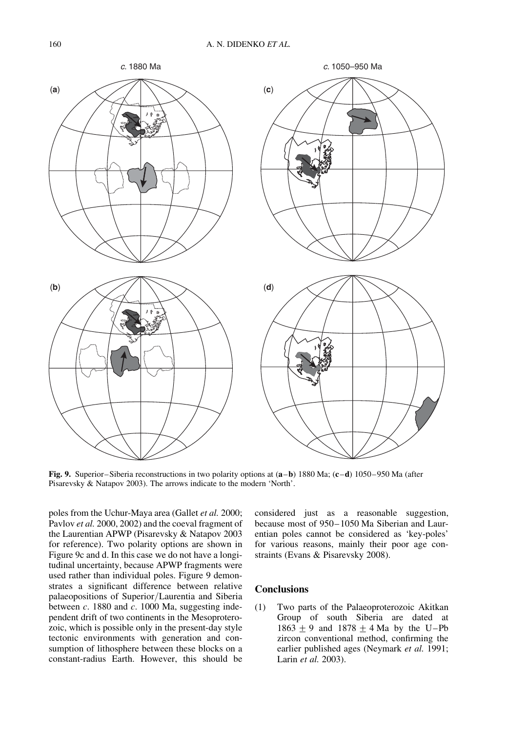

Fig. 9. Superior–Siberia reconstructions in two polarity options at  $(a-b)$  1880 Ma;  $(c-d)$  1050–950 Ma (after Pisarevsky & Natapov 2003). The arrows indicate to the modern 'North'.

poles from the Uchur-Maya area (Gallet et al. 2000; Pavlov et al. 2000, 2002) and the coeval fragment of the Laurentian APWP (Pisarevsky & Natapov 2003 for reference). Two polarity options are shown in Figure 9c and d. In this case we do not have a longitudinal uncertainty, because APWP fragments were used rather than individual poles. Figure 9 demonstrates a significant difference between relative palaeopositions of Superior/Laurentia and Siberia between  $c$ . 1880 and  $c$ . 1000 Ma, suggesting independent drift of two continents in the Mesoproterozoic, which is possible only in the present-day style tectonic environments with generation and consumption of lithosphere between these blocks on a constant-radius Earth. However, this should be considered just as a reasonable suggestion, because most of 950–1050 Ma Siberian and Laurentian poles cannot be considered as 'key-poles' for various reasons, mainly their poor age constraints (Evans & Pisarevsky 2008).

### Conclusions

(1) Two parts of the Palaeoproterozoic Akitkan Group of south Siberia are dated at  $1863 \pm 9$  and  $1878 \pm 4$  Ma by the U–Pb zircon conventional method, confirming the earlier published ages (Neymark et al. 1991; Larin et al. 2003).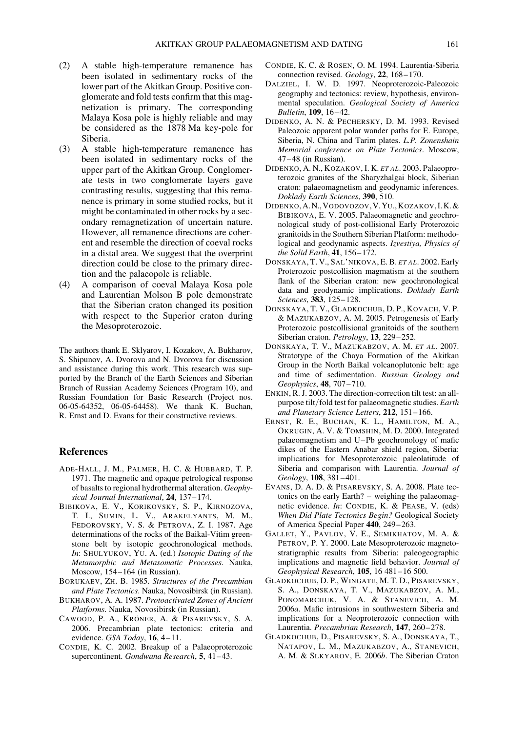- (2) A stable high-temperature remanence has been isolated in sedimentary rocks of the lower part of the Akitkan Group. Positive conglomerate and fold tests confirm that this magnetization is primary. The corresponding Malaya Kosa pole is highly reliable and may be considered as the 1878 Ma key-pole for Siberia.
- (3) A stable high-temperature remanence has been isolated in sedimentary rocks of the upper part of the Akitkan Group. Conglomerate tests in two conglomerate layers gave contrasting results, suggesting that this remanence is primary in some studied rocks, but it might be contaminated in other rocks by a secondary remagnetization of uncertain nature. However, all remanence directions are coherent and resemble the direction of coeval rocks in a distal area. We suggest that the overprint direction could be close to the primary direction and the palaeopole is reliable.
- (4) A comparison of coeval Malaya Kosa pole and Laurentian Molson B pole demonstrate that the Siberian craton changed its position with respect to the Superior craton during the Mesoproterozoic.

The authors thank E. Sklyarov, I. Kozakov, A. Bukharov, S. Shipunov, A. Dvorova and N. Dvorova for discussion and assistance during this work. This research was supported by the Branch of the Earth Sciences and Siberian Branch of Russian Academy Sciences (Program 10), and Russian Foundation for Basic Research (Project nos. 06-05-64352, 06-05-64458). We thank K. Buchan, R. Ernst and D. Evans for their constructive reviews.

#### References

- ADE-HALL, J. M., PALMER, H. C. & HUBBARD, T. P. 1971. The magnetic and opaque petrological response of basalts to regional hydrothermal alteration. Geophysical Journal International, 24, 137–174.
- BIBIKOVA, E. V., KORIKOVSKY, S. P., KIRNOZOVA, T. I., SUMIN, L. V., ARAKELYANTS, M. M., FEDOROVSKY, V. S. & PETROVA, Z. I. 1987. Age determinations of the rocks of the Baikal-Vitim greenstone belt by isotopic geochronological methods. In: SHULYUKOV, YU. A. (ed.) Isotopic Dating of the Metamorphic and Metasomatic Processes. Nauka, Moscow, 154–164 (in Russian).
- BORUKAEV, ZH. B. 1985. Structures of the Precambian and Plate Tectonics. Nauka, Novosibirsk (in Russian).
- BUKHAROV, A. A. 1987. Protoactivated Zones of Ancient Platforms. Nauka, Novosibirsk (in Russian).
- CAWOOD, P. A., KRÖNER, A. & PISAREVSKY, S. A. 2006. Precambrian plate tectonics: criteria and evidence. GSA Today, 16, 4-11.
- CONDIE, K. C. 2002. Breakup of a Palaeoproterozoic supercontinent. Gondwana Research, 5, 41-43.
- CONDIE, K. C. & ROSEN, O. M. 1994. Laurentia-Siberia connection revised. Geology, 22, 168-170.
- DALZIEL, I. W. D. 1997. Neoproterozoic-Paleozoic geography and tectonics: review, hypothesis, environmental speculation. Geological Society of America Bulletin, 109, 16–42.
- DIDENKO, A. N. & PECHERSKY, D. M. 1993. Revised Paleozoic apparent polar wander paths for E. Europe, Siberia, N. China and Tarim plates. L.P. Zonenshain Memorial conference on Plate Tectonics. Moscow, 47–48 (in Russian).
- DIDENKO, A. N., KOZAKOV, I. K. ET AL. 2003. Palaeoproterozoic granites of the Sharyzhalgai block, Siberian craton: palaeomagnetism and geodynamic inferences. Doklady Earth Sciences, 390, 510.
- DIDENKO, A.N.,VODOVOZOV,V.YU.,KOZAKOV,I.K.& BIBIKOVA, E. V. 2005. Palaeomagnetic and geochronological study of post-collisional Early Proterozoic granitoids in the Southern Siberian Platform: methodological and geodynamic aspects. Izvestiya, Physics of the Solid Earth, 41, 156–172.
- DONSKAYA, T. V., SAL'NIKOVA, E. B. ET AL. 2002. Early Proterozoic postcollision magmatism at the southern flank of the Siberian craton: new geochronological data and geodynamic implications. Doklady Earth Sciences, 383, 125–128.
- DONSKAYA, T. V., GLADKOCHUB, D. P., KOVACH, V. P. & MAZUKABZOV, A. M. 2005. Petrogenesis of Early Proterozoic postcollisional granitoids of the southern Siberian craton. Petrology, 13, 229-252.
- DONSKAYA, T. V., MAZUKABZOV, A. M. ET AL. 2007. Stratotype of the Chaya Formation of the Akitkan Group in the North Baikal volcanoplutonic belt: age and time of sedimentation. Russian Geology and Geophysics, 48, 707–710.
- ENKIN, R. J. 2003. The direction-correction tilt test: an allpurpose tilt/fold test for palaeomagnetic studies. Earth and Planetary Science Letters, 212, 151–166.
- ERNST, R. E., BUCHAN, K. L., HAMILTON, M. A., OKRUGIN, A. V. & TOMSHIN, M. D. 2000. Integrated palaeomagnetism and U–Pb geochronology of mafic dikes of the Eastern Anabar shield region, Siberia: implications for Mesoproterozoic paleolatitude of Siberia and comparison with Laurentia. Journal of Geology, 108, 381–401.
- EVANS, D. A. D. & PISAREVSKY, S. A. 2008. Plate tectonics on the early Earth? – weighing the palaeomagnetic evidence. In: CONDIE, K. & PEASE, V. (eds) When Did Plate Tectonics Begin? Geological Society of America Special Paper 440, 249–263.
- GALLET, Y., PAVLOV, V. E., SEMIKHATOV, M. A. & PETROV, P. Y. 2000. Late Mesoproterozoic magnetostratigraphic results from Siberia: paleogeographic implications and magnetic field behavior. Journal of Geophysical Research, 105, 16 481–16 500.
- GLADKOCHUB, D. P., WINGATE, M. T. D., PISAREVSKY, S. A., DONSKAYA, T. V., MAZUKABZOV, A. M., PONOMARCHUK, V. A. & STANEVICH, A. M. 2006a. Mafic intrusions in southwestern Siberia and implications for a Neoproterozoic connection with Laurentia. Precambrian Research, 147, 260–278.
- GLADKOCHUB, D., PISAREVSKY, S. A., DONSKAYA, T., NATAPOV, L. M., MAZUKABZOV, A., STANEVICH, A. M. & SLKYAROV, E. 2006b. The Siberian Craton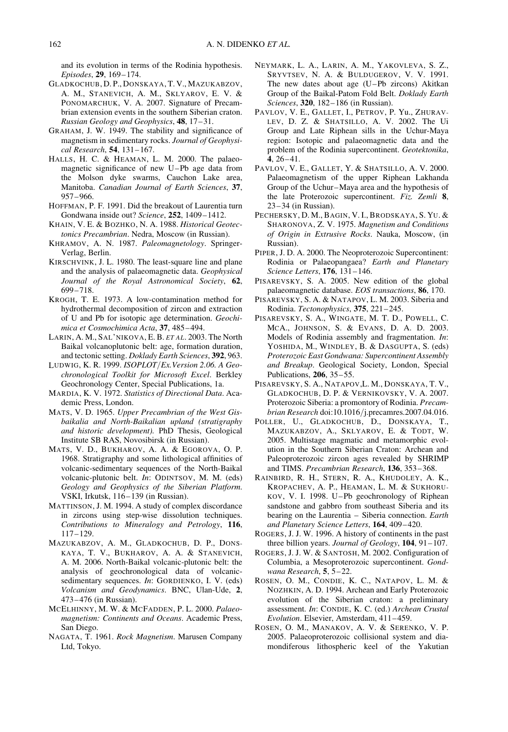and its evolution in terms of the Rodinia hypothesis. Episodes, 29, 169–174.

- GLADKOCHUB, D. P., DONSKAYA, T. V., MAZUKABZOV, A. M., STANEVICH, A. M., SKLYAROV, E. V. & PONOMARCHUK, V. A. 2007. Signature of Precambrian extension events in the southern Siberian craton. Russian Geology and Geophysics, 48, 17–31.
- GRAHAM, J. W. 1949. The stability and significance of magnetism in sedimentary rocks. Journal of Geophysical Research, 54, 131–167.
- HALLS, H. C. & HEAMAN, L. M. 2000. The palaeomagnetic significance of new U–Pb age data from the Molson dyke swarms, Cauchon Lake area, Manitoba. Canadian Journal of Earth Sciences, 37, 957–966.
- HOFFMAN, P. F. 1991. Did the breakout of Laurentia turn Gondwana inside out? Science, 252, 1409–1412.
- KHAIN, V. E. & BOZHKO, N. A. 1988. Historical Geotectonics Precambrian. Nedra, Moscow (in Russian).
- KHRAMOV, A. N. 1987. Paleomagnetology. Springer-Verlag, Berlin.
- KIRSCHVINK, J. L. 1980. The least-square line and plane and the analysis of palaeomagnetic data. Geophysical Journal of the Royal Astronomical Society, 62, 699–718.
- KROGH, T. E. 1973. A low-contamination method for hydrothermal decomposition of zircon and extraction of U and Pb for isotopic age determination. Geochimica et Cosmochimica Acta, 37, 485–494.
- LARIN, A. M., SAL'NIKOVA, E. B. ET AL. 2003. The North Baikal volcanoplutonic belt: age, formation duration, and tectonic setting. Doklady Earth Sciences, 392, 963.
- LUDWIG, K. R. 1999. ISOPLOT/Ex.Version 2.06. A Geochronological Toolkit for Microsoft Excel. Berkley Geochronology Center, Special Publications, 1a.
- MARDIA, K. V. 1972. Statistics of Directional Data. Academic Press, London.
- MATS, V. D. 1965. Upper Precambrian of the West Gisbaikalia and North-Baikalian upland (stratigraphy and historic development). PhD Thesis, Geological Institute SB RAS, Novosibirsk (in Russian).
- MATS, V. D., BUKHAROV, A. A. & EGOROVA, O. P. 1968. Stratigraphy and some lithological affinities of volcanic-sedimentary sequences of the North-Baikal volcanic-plutonic belt. In: ODINTSOV, M. M. (eds) Geology and Geophysics of the Siberian Platform. VSKI, Irkutsk, 116–139 (in Russian).
- MATTINSON, J. M. 1994. A study of complex discordance in zircons using step-wise dissolution techniques. Contributions to Mineralogy and Petrology, 116, 117–129.
- MAZUKABZOV, A. M., GLADKOCHUB, D. P., DONS-KAYA, T. V., BUKHAROV, A. A. & STANEVICH, A. M. 2006. North-Baikal volcanic-plutonic belt: the analysis of geochronological data of volcanicsedimentary sequences. *In*: GORDIENKO, I. V. (eds) Volcanism and Geodynamics. BNC, Ulan-Ude, 2, 473–476 (in Russian).
- MCELHINNY, M. W. & MCFADDEN, P. L. 2000. Palaeomagnetism: Continents and Oceans. Academic Press, San Diego.
- NAGATA, T. 1961. Rock Magnetism. Marusen Company Ltd, Tokyo.
- NEYMARK, L. A., LARIN, A. M., YAKOVLEVA, S. Z., SRYVTSEV, N. A. & BULDUGEROV, V. V. 1991. The new dates about age (U–Pb zircons) Akitkan Group of the Baikal-Patom Fold Belt. Doklady Earth Sciences, 320, 182–186 (in Russian).
- PAVLOV, V. E., GALLET, I., PETROV, P. Yu., ZHURAV-LEV, D. Z. & SHATSILLO, A. V. 2002. The Ui Group and Late Riphean sills in the Uchur-Maya region: Isotopic and palaeomagnetic data and the problem of the Rodinia supercontinent. Geotektonika, 4, 26–41.
- PAVLOV, V. E., GALLET, Y. & SHATSILLO, A. V. 2000. Palaeomagnetism of the upper Riphean Lakhanda Group of the Uchur–Maya area and the hypothesis of the late Proterozoic supercontinent. Fiz. Zemli 8, 23–34 (in Russian).
- PECHERSKY, D. M., BAGIN, V. I., BRODSKAYA, S. YU. & SHARONOVA, Z. V. 1975. Magnetism and Conditions of Origin in Extrusive Rocks. Nauka, Moscow, (in Russian).
- PIPER, J. D. A. 2000. The Neoproterozoic Supercontinent: Rodinia or Palaeopangaea? Earth and Planetary Science Letters, 176, 131–146.
- PISAREVSKY, S. A. 2005. New edition of the global palaeomagnetic database. EOS transactions, 86, 170.
- PISAREVSKY, S. A. & NATAPOV, L. M. 2003. Siberia and Rodinia. Tectonophysics, 375, 221–245.
- PISAREVSKY, S. A., WINGATE, M. T. D., POWELL, C. MCA., JOHNSON, S. & EVANS, D. A. D. 2003. Models of Rodinia assembly and fragmentation. In: YOSHIDA, M., WINDLEY, B. & DASGUPTA, S. (eds) Proterozoic East Gondwana: Supercontinent Assembly and Breakup. Geological Society, London, Special Publications, 206, 35–55.
- PISAREVSKY, S. A., NATAPOV,L. M., DONSKAYA, T. V., GLADKOCHUB, D. P. & VERNIKOVSKY, V. A. 2007. Proterozoic Siberia: a promontory of Rodinia. Precambrian Research doi:10.1016/j.precamres.2007.04.016.
- POLLER, U., GLADKOCHUB, D., DONSKAYA, T., MAZUKABZOV, A., SKLYAROV, E. & TODT, W. 2005. Multistage magmatic and metamorphic evolution in the Southern Siberian Craton: Archean and Paleoproterozoic zircon ages revealed by SHRIMP and TIMS. Precambrian Research, 136, 353–368.
- RAINBIRD, R. H., STERN, R. A., KHUDOLEY, A. K., KROPACHEV, A. P., HEAMAN, L. M. & SUKHORU-KOV, V. I. 1998. U–Pb geochronology of Riphean sandstone and gabbro from southeast Siberia and its bearing on the Laurentia – Siberia connection. Earth and Planetary Science Letters, 164, 409–420.
- ROGERS, J. J. W. 1996. A history of continents in the past three billion years. *Journal of Geology*, **104**, 91–107.
- ROGERS, J. J. W. & SANTOSH, M. 2002. Configuration of Columbia, a Mesoproterozoic supercontinent. Gondwana Research, 5, 5–22.
- ROSEN, O. M., CONDIE, K. C., NATAPOV, L. M. & NOZHKIN, A. D. 1994. Archean and Early Proterozoic evolution of the Siberian craton: a preliminary assessment. In: CONDIE, K. C. (ed.) Archean Crustal Evolution. Elsevier, Amsterdam, 411–459.
- ROSEN, O. M., MANAKOV, A. V. & SERENKO, V. P. 2005. Palaeoproterozoic collisional system and diamondiferous lithospheric keel of the Yakutian